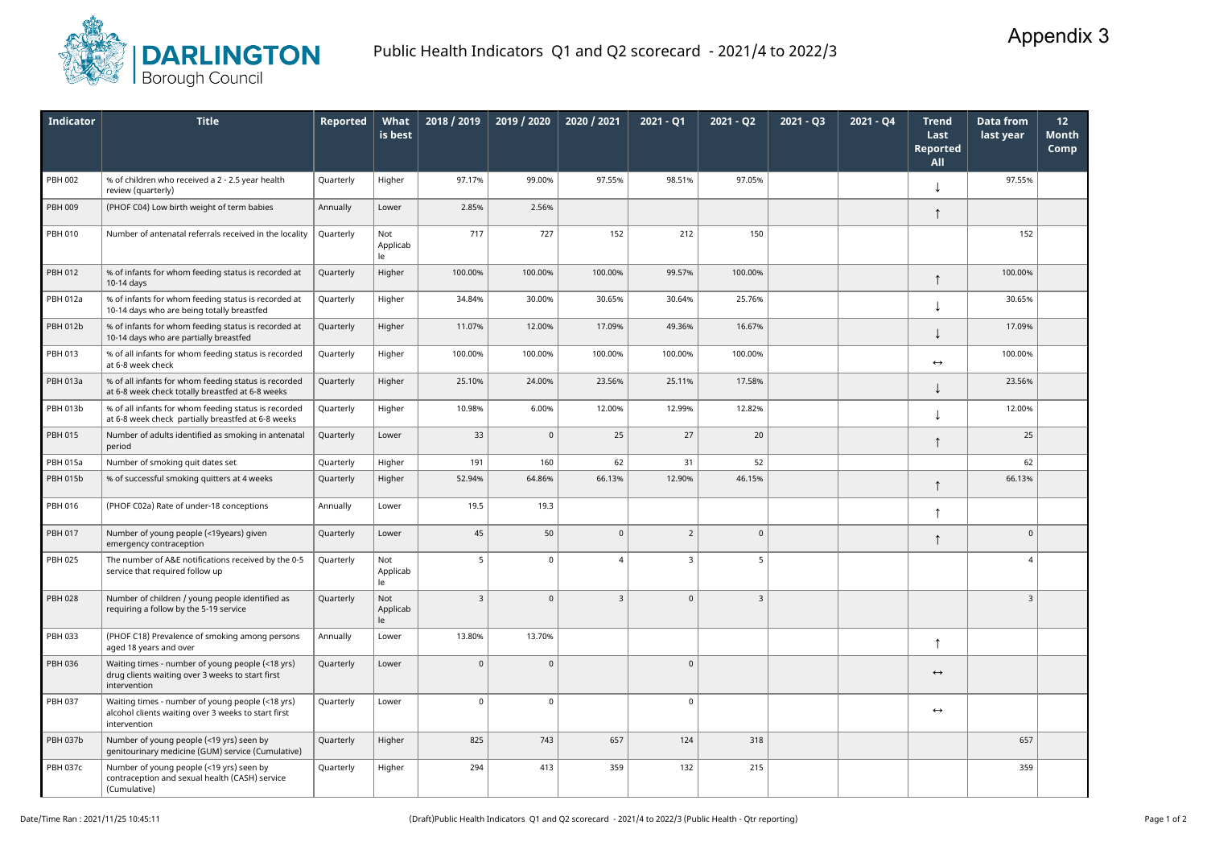

| <b>Indicator</b> | <b>Title</b>                                                                                                            | Reported  | What<br>is best       | 2018 / 2019  | 2019 / 2020 | 2020 / 2021    | $2021 - Q1$    | $2021 - Q2$    | $2021 - Q3$ | $2021 - Q4$ | <b>Trend</b><br>Last<br><b>Reported</b><br><b>All</b> | <b>Data from</b><br>last year | 12<br><b>Month</b><br>Comp |
|------------------|-------------------------------------------------------------------------------------------------------------------------|-----------|-----------------------|--------------|-------------|----------------|----------------|----------------|-------------|-------------|-------------------------------------------------------|-------------------------------|----------------------------|
| <b>PBH 002</b>   | % of children who received a 2 - 2.5 year health<br>review (quarterly)                                                  | Quarterly | Higher                | 97.17%       | 99.00%      | 97.55%         | 98.51%         | 97.05%         |             |             |                                                       | 97.55%                        |                            |
| PBH 009          | (PHOF C04) Low birth weight of term babies                                                                              | Annually  | Lower                 | 2.85%        | 2.56%       |                |                |                |             |             |                                                       |                               |                            |
| <b>PBH 010</b>   | Number of antenatal referrals received in the locality                                                                  | Quarterly | Not<br>Applicab<br>le | 717          | 727         | 152            | 212            | 150            |             |             |                                                       | 152                           |                            |
| PBH 012          | % of infants for whom feeding status is recorded at<br>10-14 days                                                       | Quarterly | Higher                | 100.00%      | 100.00%     | 100.00%        | 99.57%         | 100.00%        |             |             |                                                       | 100.00%                       |                            |
| <b>PBH 012a</b>  | % of infants for whom feeding status is recorded at<br>10-14 days who are being totally breastfed                       | Quarterly | Higher                | 34.84%       | 30.00%      | 30.65%         | 30.64%         | 25.76%         |             |             |                                                       | 30.65%                        |                            |
| <b>PBH 012b</b>  | % of infants for whom feeding status is recorded at<br>10-14 days who are partially breastfed                           | Quarterly | Higher                | 11.07%       | 12.00%      | 17.09%         | 49.36%         | 16.67%         |             |             |                                                       | 17.09%                        |                            |
| PBH 013          | % of all infants for whom feeding status is recorded<br>at 6-8 week check                                               | Quarterly | Higher                | 100.00%      | 100.00%     | 100.00%        | 100.00%        | 100.00%        |             |             | $\leftrightarrow$                                     | 100.00%                       |                            |
| PBH 013a         | % of all infants for whom feeding status is recorded<br>at 6-8 week check totally breastfed at 6-8 weeks                | Quarterly | Higher                | 25.10%       | 24.00%      | 23.56%         | 25.11%         | 17.58%         |             |             |                                                       | 23.56%                        |                            |
| PBH 013b         | % of all infants for whom feeding status is recorded<br>at 6-8 week check partially breastfed at 6-8 weeks              | Quarterly | Higher                | 10.98%       | 6.00%       | 12.00%         | 12.99%         | 12.82%         |             |             |                                                       | 12.00%                        |                            |
| PBH 015          | Number of adults identified as smoking in antenatal<br>period                                                           | Quarterly | Lower                 | 33           | $\mathbf 0$ | 25             | 27             | 20             |             |             |                                                       | 25                            |                            |
| <b>PBH 015a</b>  | Number of smoking quit dates set                                                                                        | Quarterly | Higher                | 191          | 160         | 62             | 31             | 52             |             |             |                                                       | 62                            |                            |
| <b>PBH 015b</b>  | % of successful smoking quitters at 4 weeks                                                                             | Quarterly | Higher                | 52.94%       | 64.86%      | 66.13%         | 12.90%         | 46.15%         |             |             |                                                       | 66.13%                        |                            |
| PBH 016          | (PHOF C02a) Rate of under-18 conceptions                                                                                | Annually  | Lower                 | 19.5         | 19.3        |                |                |                |             |             |                                                       |                               |                            |
| PBH 017          | Number of young people (<19years) given<br>emergency contraception                                                      | Quarterly | Lower                 | 45           | 50          | $\mathbf{0}$   | $\overline{2}$ | $\mathbf 0$    |             |             |                                                       | $\Omega$                      |                            |
| <b>PBH 025</b>   | The number of A&E notifications received by the 0-5<br>service that required follow up                                  | Quarterly | Not<br>Applicab<br>le | 5            | 0           | $\overline{4}$ | 3              | 5              |             |             |                                                       | $\overline{4}$                |                            |
| <b>PBH 028</b>   | Number of children / young people identified as<br>requiring a follow by the 5-19 service                               | Quarterly | Not<br>Applicab<br>le | $\mathbf{3}$ | $\mathbf 0$ | $\mathbf{3}$   | $\mathbf 0$    | $\overline{3}$ |             |             |                                                       | $\overline{3}$                |                            |
| PBH 033          | (PHOF C18) Prevalence of smoking among persons<br>aged 18 years and over                                                | Annually  | Lower                 | 13.80%       | 13.70%      |                |                |                |             |             | ᠰ                                                     |                               |                            |
| PBH 036          | Waiting times - number of young people (<18 yrs)<br>drug clients waiting over 3 weeks to start first<br>intervention    | Quarterly | Lower                 | $\mathbf 0$  | $\mathbf 0$ |                | $\overline{0}$ |                |             |             | $\leftrightarrow$                                     |                               |                            |
| <b>PBH 037</b>   | Waiting times - number of young people (<18 yrs)<br>alcohol clients waiting over 3 weeks to start first<br>intervention | Quarterly | Lower                 | $\mathbf{0}$ | 0           |                | $\mathbf 0$    |                |             |             | $\leftrightarrow$                                     |                               |                            |
| <b>PBH 037b</b>  | Number of young people (<19 yrs) seen by<br>genitourinary medicine (GUM) service (Cumulative)                           | Quarterly | Higher                | 825          | 743         | 657            | 124            | 318            |             |             |                                                       | 657                           |                            |
| <b>PBH 037c</b>  | Number of young people (<19 yrs) seen by<br>contraception and sexual health (CASH) service<br>(Cumulative)              | Quarterly | Higher                | 294          | 413         | 359            | 132            | 215            |             |             |                                                       | 359                           |                            |

## Appendix 3